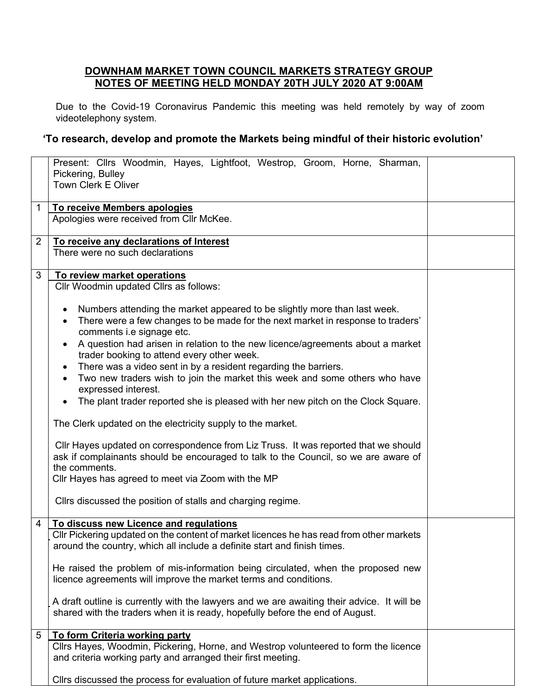## **DOWNHAM MARKET TOWN COUNCIL MARKETS STRATEGY GROUP NOTES OF MEETING HELD MONDAY 20TH JULY 2020 AT 9:00AM**

Due to the Covid-19 Coronavirus Pandemic this meeting was held remotely by way of zoom videotelephony system.

## **'To research, develop and promote the Markets being mindful of their historic evolution'**

|                | Present: Cllrs Woodmin, Hayes, Lightfoot, Westrop, Groom, Horne, Sharman,<br>Pickering, Bulley<br><b>Town Clerk E Oliver</b>                                                                                                                      |  |
|----------------|---------------------------------------------------------------------------------------------------------------------------------------------------------------------------------------------------------------------------------------------------|--|
| 1              | To receive Members apologies<br>Apologies were received from Cllr McKee.                                                                                                                                                                          |  |
| $\overline{2}$ | To receive any declarations of Interest<br>There were no such declarations                                                                                                                                                                        |  |
| 3              | To review market operations<br>Cllr Woodmin updated Cllrs as follows:                                                                                                                                                                             |  |
|                | Numbers attending the market appeared to be slightly more than last week.<br>$\bullet$<br>There were a few changes to be made for the next market in response to traders'<br>$\bullet$<br>comments i.e signage etc.                               |  |
|                | A question had arisen in relation to the new licence/agreements about a market<br>$\bullet$<br>trader booking to attend every other week.<br>There was a video sent in by a resident regarding the barriers.<br>$\bullet$                         |  |
|                | Two new traders wish to join the market this week and some others who have<br>$\bullet$<br>expressed interest.                                                                                                                                    |  |
|                | The plant trader reported she is pleased with her new pitch on the Clock Square.<br>The Clerk updated on the electricity supply to the market.                                                                                                    |  |
|                | Cllr Hayes updated on correspondence from Liz Truss. It was reported that we should<br>ask if complainants should be encouraged to talk to the Council, so we are aware of<br>the comments.<br>Cllr Hayes has agreed to meet via Zoom with the MP |  |
|                | Cllrs discussed the position of stalls and charging regime.                                                                                                                                                                                       |  |
| 4              | To discuss new Licence and regulations<br>Cllr Pickering updated on the content of market licences he has read from other markets<br>around the country, which all include a definite start and finish times.                                     |  |
|                | He raised the problem of mis-information being circulated, when the proposed new<br>licence agreements will improve the market terms and conditions.                                                                                              |  |
|                | A draft outline is currently with the lawyers and we are awaiting their advice. It will be<br>shared with the traders when it is ready, hopefully before the end of August.                                                                       |  |
| 5              | To form Criteria working party<br>Cllrs Hayes, Woodmin, Pickering, Horne, and Westrop volunteered to form the licence<br>and criteria working party and arranged their first meeting.                                                             |  |
|                | Cllrs discussed the process for evaluation of future market applications.                                                                                                                                                                         |  |